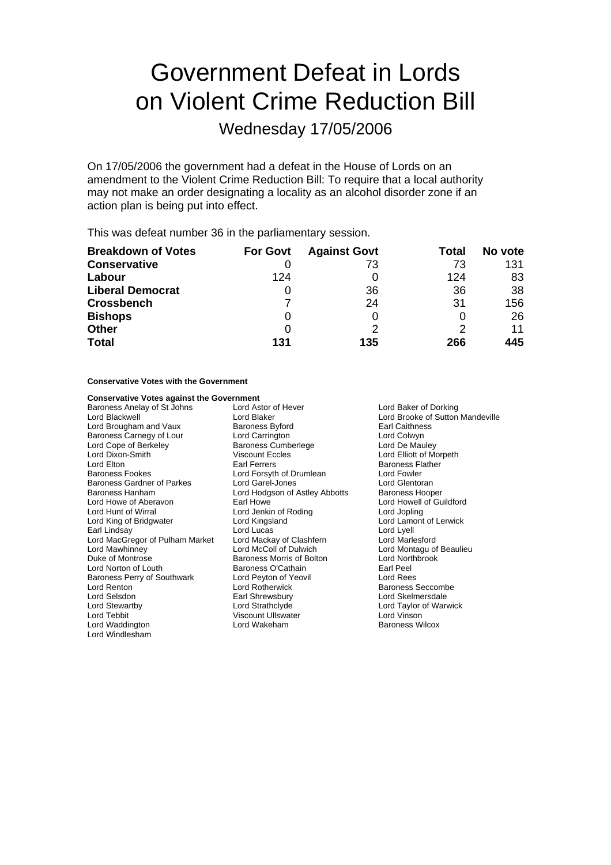# Government Defeat in Lords on Violent Crime Reduction Bill

Wednesday 17/05/2006

On 17/05/2006 the government had a defeat in the House of Lords on an amendment to the Violent Crime Reduction Bill: To require that a local authority may not make an order designating a locality as an alcohol disorder zone if an action plan is being put into effect.

This was defeat number 36 in the parliamentary session.

| <b>Breakdown of Votes</b> | <b>For Govt</b> | <b>Against Govt</b> | Total | No vote |
|---------------------------|-----------------|---------------------|-------|---------|
| <b>Conservative</b>       |                 | 73                  | 73    | 131     |
| Labour                    | 124             |                     | 124   | 83      |
| <b>Liberal Democrat</b>   | O               | 36                  | 36    | 38      |
| <b>Crossbench</b>         |                 | 24                  | 31    | 156     |
| <b>Bishops</b>            | O               |                     | 0     | 26      |
| <b>Other</b>              | 0               |                     |       | 11      |
| <b>Total</b>              | 131             | 135                 | 266   | 445     |

#### **Conservative Votes with the Government**

## **Conservative Votes against the Government**<br>**Baroness Anelay of St Johns** Lord Astor of Hever

Baroness Anelay of St Johns Lord Astor of Hever F Lord Baker of Dorking Lord Brougham and Vaux Baroness Byford Earl Caithness<br>
Baroness Carnegy of Lour Lord Carrington Carrington Lord Colwyn Baroness Carnegy of Lour Lord Carrington Carrington<br>
Lord Cope of Berkeley Carrington Baroness Cumberlege Cumberly Lord De Mauley Lord Dixon-Smith Viscount Eccles Lord Elliott of Morpeth Baroness Fookes **Lord Forsyth of Drumlean** Baroness Gardner of Parkes Lord Garel-Jones Lord Gentoran<br>Baroness Hanham Lord Hodgson of Astley Abbotts Baroness Hooper Baroness Hanham **Lord Hodgson of Astley Abbotts**<br>
Lord Howe of Aberavon **Earl Howe** Lord Howe of Aberavon Earl Howe Earl Howe Lord Howell of Guildford<br>
Lord Hunt of Wirral Communic Lord Jenkin of Roding Lord Jopling Lord Jopling Lord King of Bridgwater **Lord Kingsland** Lord Lord Lamont of Lerwick<br>
Earl Lindsay **Lord Lord Lord Lucas** Lord Lord Lord Lord Lyell Earl Lindsay The Lord Lord Lucas Lord Lord Lindsay Lord Lyell<br>
Lord MacGregor of Pulham Market Lord Mackay of Clashfern Lord Marlesford Lord MacGregor of Pulham Market<br>Lord Mawhinney Duke of Montrose **Baroness Morris of Bolton** Lord Northbrook<br>
Lord Norton of Louth **Baroness O'Cathain** Earl Peel Lord Norton of Louth Baroness O'Cathain Earl Peel Baroness Perry of Southwark Franch Peyton of Yeord Reesenance Reesenance Reesenance Reesenance Reesenance Rees Lord Renton **Lord Rotherwick** Baroness Seccombe Lord Selsdon **Earl Shrewsbury Community Community** Lord Skelmersdale<br>
Lord Stewartby **Lord Strathclyde** Communication Communication of War Lord Stewar y tb Lord Strathclyde Lord Taylor of Warwick Lord Waddington **Lord Wakeham** Baroness Wilcox Lord Windlesham

Baroness Cumberlege Lord Jenkin of Roding Lord McColl of Dulwich Lord Montagu of Beaulieu Viscount Ullswater **Tebbis 1986** Lord Vinson

Lord Blackwell **Lord Blaker Communist Communist Communist Communist Communist Communist Communist Communist Communist Communist Communist Communist Communist Communist Communist Communist Communist Communist Communist Comm** Baroness Flather<br>Lord Fowler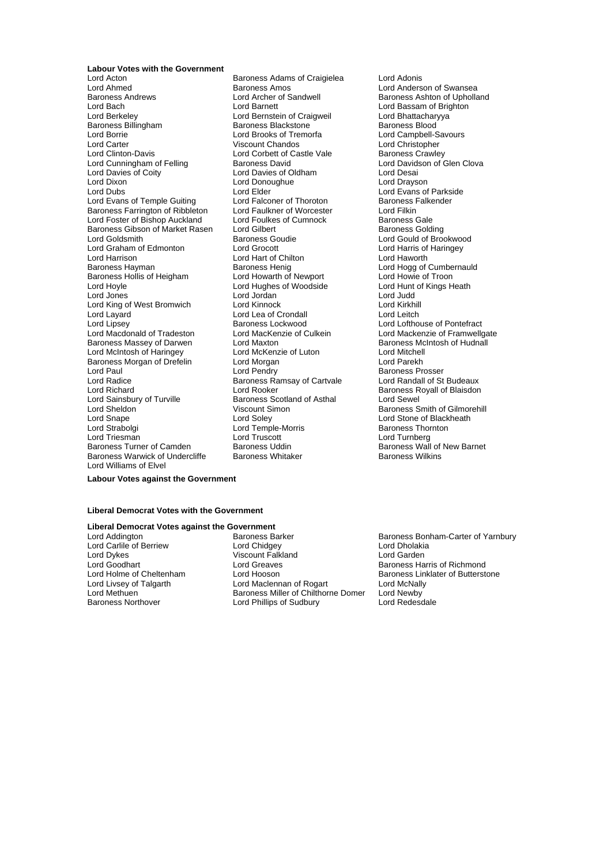**Labour Votes with the Government**<br>Lord Acton Lord Acton **Confluence Communist Craigielea** Lord Adonis<br>
Lord Ahmed **Baroness Amos** Craigielea Lord Anders Lord Ahmed<br>
Lord Ahmed Baroness Andrews<br>
Baroness Andrews<br>
Lord Archer of Sandwell<br>
Lord Andrews<br>
Lord Archer of Sandwell<br>
Baroness Ashton of Upholla Baroness Andrews **Example 2** Lord Archer of Sandwell **Baroness Ashton of Upholland**<br>
Lord Baroness Ashton of Upholland<br>
Lord Baroness Ashton of Brighton Lord Bach Lord Barnett Lord Bassam of Brighton<br>
Lord Berkeley Cord Bernstein of Craigweil Lord Bhattacharyya Lord Berkeley **Lord Bernstein of Craigweil** Cord Bhattachary<br>
Baroness Billingham **Baroness Blackstone** Baroness Blood Lord Borrie Lord Brooks of Tremorfa Lord Campbell-Savours Lord Carter **Carter Structure Control Control Control Control Control Control Control Control Control Control Control Control Control Control Control Control Control Control Control Control Control Control Control Control** Lord Cunningham of Felling Baroness David Cunningham of Felling Baroness David<br>
Lord Davies of Coity Lord Davies of Oldham Lord Desai Lord Dixon Lord Donoughue Lord Drayson<br>
Lord Dubs Lord Lord Drayson<br>
Lord Dubs Lord Lord Evans of Lord Evans of Temple Guiting Lord Falconer of Thoroton Baroness F<br>Baroness Farrington of Ribbleton Lord Faulkner of Worcester Lord Filkin Baroness Farrington of Ribbleton Lord Faulkner of Worcester Lord Filkin Lord Foster of Bishop Auckland Lord Foulkes of Cumnock Baroness Gale<br>Baroness Gibson of Market Rasen Lord Gilbert Baroness Golding Baroness Gibson of Market Rasen Lord Goldsmith **Baroness Goudie** Communication Cord Gould of Brookwood<br>
Lord Graham of Edmonton Lord Grocott Cord Cord Lord Harris of Haringey Lord Graham of Edmonton Lord Grocott Lord Harris of Lord Harris of Lord Harris of Lord Harris of Lord Hawarth Baroness Hayman **Baroness Henig** Baroness Henig Lord Hogg of Cumbernauld Baroness Henig Lord Howe of Troon Baroness Hollis of Heigham Lord Howarth of Newport Lord Howie of Troon<br>Lord Howie Lord Hughes of Woodside Lord Hunt of Kings Heath Lord Hoyle Lord Hughes of Woodside Lord Hunt of Kings Heather Lord Hughes Heather Lord Hunt of Kings Heather Heather Heather Heather Heather Heather Heather Heather Heather Heather Heather Heather Heather Heather Heather H Lord Jones Lord Jordan Lord Judd Lord King of West Bromwich Lord Kinnock Lord Kirkhill Lord Layard Lord Lea of Crondall Lord Leitch Lord Macdonald of Tradeston Lord MacKenzie of Culkein Lord Mackenzie of Framwellga<br>Baroness Massey of Darwen Lord Maxton Cord Maxton Baroness McIntosh of Hudnall Baroness Massey of Darwen<br>
Lord McIntosh of Haringey<br>
Lord McKenzie of Luton Lord McIntosh of Haringey Lord McKenzie of Luton Lord Mitchell Baroness Morgan of Drefelin Lord Paul **Lord Pendry** Cord Pendry **Baroness Prosser**<br>
Lord Radice **Cord Pendrim Baroness Ramsay of Cartvale** Cord Randall of St Budeaux Lord Radice **Baroness Ramsay of Cartvale**<br>
Lord Richard **Budeaux**<br>
Lord Rooker Lord Sainsbury of Turville Variances Scotland Corp.<br>
Lord Sheldon Viscount Simon Lord Snape Lord Soley Lord Soley Lord Stone of Blackheath<br>
Lord Strabolgi Cord Temple-Morris Baroness Thornton Lord Triesman **Lord Truscott** Lord Truscott Lord Turnberg<br>
Baroness Turner of Camden Baroness Uddin **Container Baroness Wall** Baroness Warwick of Undercliffe Lord Williams of Elvel

Baroness Blackstone Lord Corbett of Castle Vale Baroness Crawley<br>Baroness David Baroness Crawley<br>Lord Davidson of Glen Clova Lord Davies of Oldham Lord Elder Lord Evans of Parkside<br>
Lord Elder Lord Evans of Parkside<br>
Lord Falconer of Thoroton Baroness Falkender Lord Hart of Chilton<br>Baroness Henig Lord Richard Lord Rooker Baroness Royall of Blaisdon Lord Temple-Morris Baroness Uddin **Baroness Wall of New Barnet**<br>Baroness Whitaker **Camel Baroness Wilkins** 

Baroness Lockwood<br>
Lord MacKenzie of Culkein<br>
Lord Mackenzie of Framwellgate Baroness Smith of Gilmorehill

#### **Labour Votes against the Government**

#### **Liberal Democrat Votes with the Government**

### **Liberal Democrat Votes against the Government**<br>Lord Addington **Baroness** Barker

Lord Carlile of Berriew Lord Chidgey Lord Chidgey Lord Chidgey Lord Cholakia<br>
Lord Dykes Cord Carden<br>
Lord Garden Viscount Falkland Lord Goodhart **Lord Greaves** Communist Communist Communist Cord Greaves<br>
Lord Holme of Cheltenham Lord Hooson **Baroness Linklater of Butterst** Lord Holme of Cheltenham Lord Hooson **Baroness Linklater of Butterstone**<br>
Lord Livsey of Talgarth **Barones Lord Maclennan of Rogart** Lord McNally Lord Maclennan of Rogart Lord Methuen **Example 2** Baroness Miller of Chilthorne Domer Lord Newby<br>Baroness Northover **Baroness** Lord Phillips of Sudbury Lord Redesdale Lord Phillips of Sudbury

Baroness Barker **Baroness Bonham-Carter of Yarnbury**<br>
Lord Chidgey<br>
Lord Dholakia